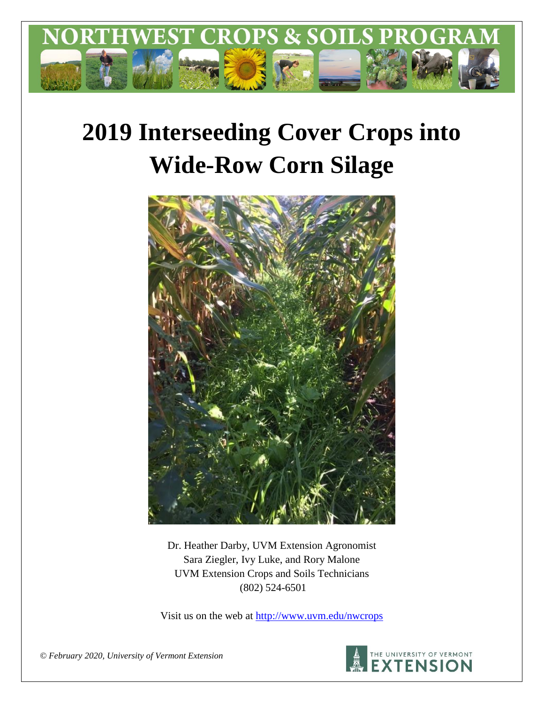

# **2019 Interseeding Cover Crops into Wide-Row Corn Silage**



Dr. Heather Darby, UVM Extension Agronomist Sara Ziegler, Ivy Luke, and Rory Malone UVM Extension Crops and Soils Technicians (802) 524-6501

Visit us on the web at <http://www.uvm.edu/nwcrops>



*© February 2020, University of Vermont Extension*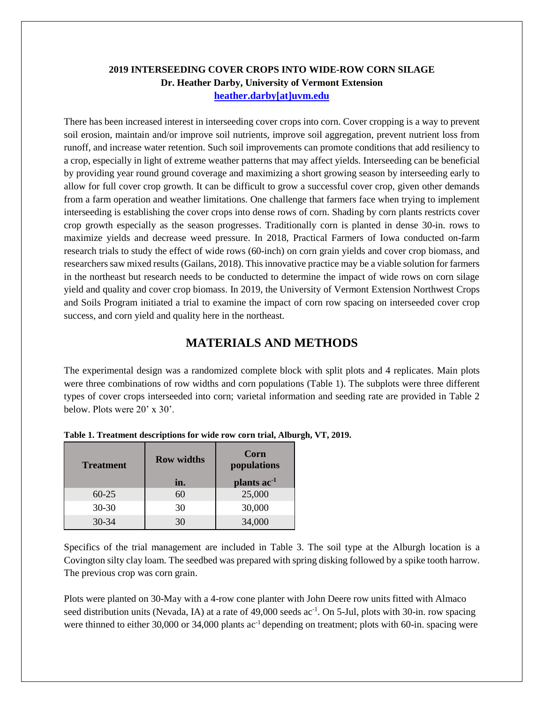## **2019 INTERSEEDING COVER CROPS INTO WIDE-ROW CORN SILAGE Dr. Heather Darby, University of Vermont Extension [heather.darby\[at\]uvm.edu](mailto:heather.darby@uvm.edu?subject=2013%20Long%20Season%20Corn%20Report)**

There has been increased interest in interseeding cover crops into corn. Cover cropping is a way to prevent soil erosion, maintain and/or improve soil nutrients, improve soil aggregation, prevent nutrient loss from runoff, and increase water retention. Such soil improvements can promote conditions that add resiliency to a crop, especially in light of extreme weather patterns that may affect yields. Interseeding can be beneficial by providing year round ground coverage and maximizing a short growing season by interseeding early to allow for full cover crop growth. It can be difficult to grow a successful cover crop, given other demands from a farm operation and weather limitations. One challenge that farmers face when trying to implement interseeding is establishing the cover crops into dense rows of corn. Shading by corn plants restricts cover crop growth especially as the season progresses. Traditionally corn is planted in dense 30-in. rows to maximize yields and decrease weed pressure. In 2018, Practical Farmers of Iowa conducted on-farm research trials to study the effect of wide rows (60-inch) on corn grain yields and cover crop biomass, and researchers saw mixed results (Gailans, 2018). This innovative practice may be a viable solution for farmers in the northeast but research needs to be conducted to determine the impact of wide rows on corn silage yield and quality and cover crop biomass. In 2019, the University of Vermont Extension Northwest Crops and Soils Program initiated a trial to examine the impact of corn row spacing on interseeded cover crop success, and corn yield and quality here in the northeast.

# **MATERIALS AND METHODS**

The experimental design was a randomized complete block with split plots and 4 replicates. Main plots were three combinations of row widths and corn populations (Table 1). The subplots were three different types of cover crops interseeded into corn; varietal information and seeding rate are provided in Table 2 below. Plots were 20' x 30'.

| <b>Treatment</b> | <b>Row widths</b><br>in. | Corn<br>populations<br>plants ac <sup>-1</sup> |
|------------------|--------------------------|------------------------------------------------|
| $60 - 25$        | 60                       | 25,000                                         |
| $30 - 30$        | 30                       | 30,000                                         |
| $30 - 34$        | 30                       | 34,000                                         |

**Table 1. Treatment descriptions for wide row corn trial, Alburgh, VT, 2019.**

Specifics of the trial management are included in Table 3. The soil type at the Alburgh location is a Covington silty clay loam. The seedbed was prepared with spring disking followed by a spike tooth harrow. The previous crop was corn grain.

Plots were planted on 30-May with a 4-row cone planter with John Deere row units fitted with Almaco seed distribution units (Nevada, IA) at a rate of 49,000 seeds ac<sup>-1</sup>. On 5-Jul, plots with 30-in. row spacing were thinned to either 30,000 or 34,000 plants ac<sup>-1</sup> depending on treatment; plots with 60-in. spacing were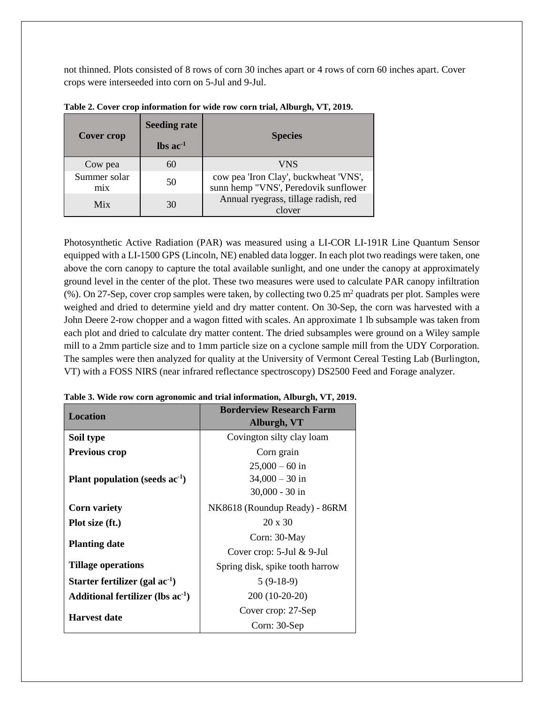not thinned. Plots consisted of 8 rows of corn 30 inches apart or 4 rows of corn 60 inches apart. Cover crops were interseeded into corn on 5-Jul and 9-Jul.

| <b>Cover crop</b>   | <b>Seeding rate</b><br>$\text{lbs}$ ac <sup>-1</sup> | <b>Species</b>                                                                |
|---------------------|------------------------------------------------------|-------------------------------------------------------------------------------|
| Cow pea             | 60                                                   | VNS                                                                           |
| Summer solar<br>mix | 50                                                   | cow pea 'Iron Clay', buckwheat 'VNS',<br>sunn hemp "VNS', Peredovik sunflower |
| Mix                 | 30                                                   | Annual ryegrass, tillage radish, red<br>clover                                |

**Table 2. Cover crop information for wide row corn trial, Alburgh, VT, 2019.**

Photosynthetic Active Radiation (PAR) was measured using a LI-COR LI-191R Line Quantum Sensor equipped with a LI-1500 GPS (Lincoln, NE) enabled data logger. In each plot two readings were taken, one above the corn canopy to capture the total available sunlight, and one under the canopy at approximately ground level in the center of the plot. These two measures were used to calculate PAR canopy infiltration (%). On 27-Sep, cover crop samples were taken, by collecting two  $0.25$  m<sup>2</sup> quadrats per plot. Samples were weighed and dried to determine yield and dry matter content. On 30-Sep, the corn was harvested with a John Deere 2-row chopper and a wagon fitted with scales. An approximate 1 lb subsample was taken from each plot and dried to calculate dry matter content. The dried subsamples were ground on a Wiley sample mill to a 2mm particle size and to 1mm particle size on a cyclone sample mill from the UDY Corporation. The samples were then analyzed for quality at the University of Vermont Cereal Testing Lab (Burlington, VT) with a FOSS NIRS (near infrared reflectance spectroscopy) DS2500 Feed and Forage analyzer.

| <b>Location</b>                        | <b>Borderview Research Farm</b> |  |  |  |  |  |  |
|----------------------------------------|---------------------------------|--|--|--|--|--|--|
|                                        | Alburgh, VT                     |  |  |  |  |  |  |
| Soil type                              | Covington silty clay loam       |  |  |  |  |  |  |
| <b>Previous crop</b>                   | Corn grain                      |  |  |  |  |  |  |
|                                        | $25,000 - 60$ in                |  |  |  |  |  |  |
| Plant population (seeds $ac-1$ )       | $34,000 - 30$ in                |  |  |  |  |  |  |
|                                        | $30,000 - 30$ in                |  |  |  |  |  |  |
| <b>Corn variety</b>                    | NK8618 (Roundup Ready) - 86RM   |  |  |  |  |  |  |
| Plot size (ft.)                        | $20 \times 30$                  |  |  |  |  |  |  |
| <b>Planting date</b>                   | Corn: 30-May                    |  |  |  |  |  |  |
|                                        | Cover crop: $5$ -Jul & 9-Jul    |  |  |  |  |  |  |
| <b>Tillage operations</b>              | Spring disk, spike tooth harrow |  |  |  |  |  |  |
| Starter fertilizer (gal $ac^{-1}$ )    | $5(9-18-9)$                     |  |  |  |  |  |  |
| Additional fertilizer (lbs $ac^{-1}$ ) | 200 (10-20-20)                  |  |  |  |  |  |  |
| <b>Harvest date</b>                    | Cover crop: 27-Sep              |  |  |  |  |  |  |
|                                        | Corn: 30-Sep                    |  |  |  |  |  |  |

**Table 3. Wide row corn agronomic and trial information, Alburgh, VT, 2019.**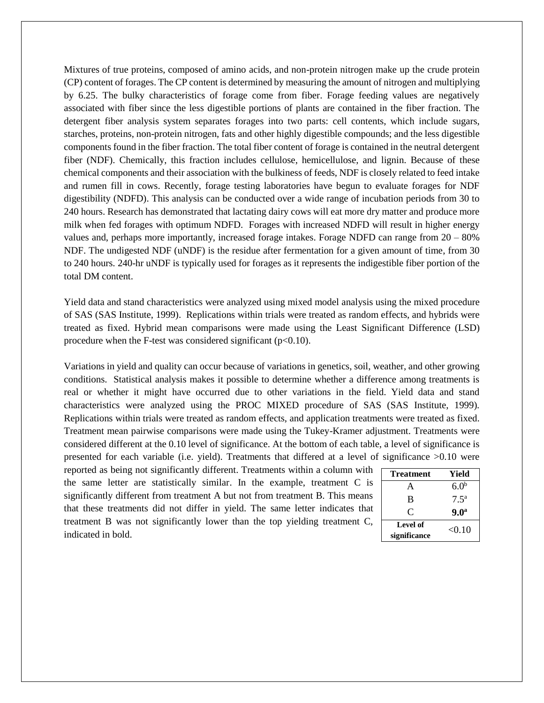Mixtures of true proteins, composed of amino acids, and non-protein nitrogen make up the crude protein (CP) content of forages. The CP content is determined by measuring the amount of nitrogen and multiplying by 6.25. The bulky characteristics of forage come from fiber. Forage feeding values are negatively associated with fiber since the less digestible portions of plants are contained in the fiber fraction. The detergent fiber analysis system separates forages into two parts: cell contents, which include sugars, starches, proteins, non-protein nitrogen, fats and other highly digestible compounds; and the less digestible components found in the fiber fraction. The total fiber content of forage is contained in the neutral detergent fiber (NDF). Chemically, this fraction includes cellulose, hemicellulose, and lignin. Because of these chemical components and their association with the bulkiness of feeds, NDF is closely related to feed intake and rumen fill in cows. Recently, forage testing laboratories have begun to evaluate forages for NDF digestibility (NDFD). This analysis can be conducted over a wide range of incubation periods from 30 to 240 hours. Research has demonstrated that lactating dairy cows will eat more dry matter and produce more milk when fed forages with optimum NDFD. Forages with increased NDFD will result in higher energy values and, perhaps more importantly, increased forage intakes. Forage NDFD can range from  $20 - 80\%$ NDF. The undigested NDF (uNDF) is the residue after fermentation for a given amount of time, from 30 to 240 hours. 240-hr uNDF is typically used for forages as it represents the indigestible fiber portion of the total DM content.

Yield data and stand characteristics were analyzed using mixed model analysis using the mixed procedure of SAS (SAS Institute, 1999). Replications within trials were treated as random effects, and hybrids were treated as fixed. Hybrid mean comparisons were made using the Least Significant Difference (LSD) procedure when the F-test was considered significant  $(p<0.10)$ .

Variations in yield and quality can occur because of variations in genetics, soil, weather, and other growing conditions. Statistical analysis makes it possible to determine whether a difference among treatments is real or whether it might have occurred due to other variations in the field. Yield data and stand characteristics were analyzed using the PROC MIXED procedure of SAS (SAS Institute, 1999). Replications within trials were treated as random effects, and application treatments were treated as fixed. Treatment mean pairwise comparisons were made using the Tukey-Kramer adjustment. Treatments were considered different at the 0.10 level of significance. At the bottom of each table, a level of significance is presented for each variable (i.e. yield). Treatments that differed at a level of significance >0.10 were

reported as being not significantly different. Treatments within a column with the same letter are statistically similar. In the example, treatment C is significantly different from treatment A but not from treatment B. This means that these treatments did not differ in yield. The same letter indicates that treatment B was not significantly lower than the top yielding treatment C, indicated in bold.

| <b>Treatment</b> | Yield            |
|------------------|------------------|
|                  | 6.0 <sup>b</sup> |
| B                | 7.5 <sup>a</sup> |
| C                | 9.0 <sup>a</sup> |
| Level of         | < 0.10           |
| significance     |                  |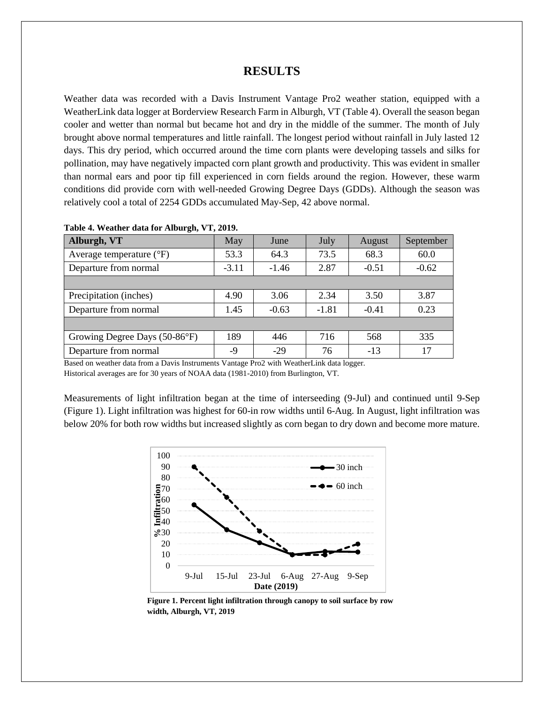### **RESULTS**

Weather data was recorded with a Davis Instrument Vantage Pro2 weather station, equipped with a WeatherLink data logger at Borderview Research Farm in Alburgh, VT (Table 4). Overall the season began cooler and wetter than normal but became hot and dry in the middle of the summer. The month of July brought above normal temperatures and little rainfall. The longest period without rainfall in July lasted 12 days. This dry period, which occurred around the time corn plants were developing tassels and silks for pollination, may have negatively impacted corn plant growth and productivity. This was evident in smaller than normal ears and poor tip fill experienced in corn fields around the region. However, these warm conditions did provide corn with well-needed Growing Degree Days (GDDs). Although the season was relatively cool a total of 2254 GDDs accumulated May-Sep, 42 above normal.

| Alburgh, VT                       | May     | June    | July    | August  | September |  |
|-----------------------------------|---------|---------|---------|---------|-----------|--|
| Average temperature $(^{\circ}F)$ | 53.3    | 64.3    | 73.5    | 68.3    | 60.0      |  |
| Departure from normal             | $-3.11$ | $-1.46$ | 2.87    | $-0.51$ | $-0.62$   |  |
|                                   |         |         |         |         |           |  |
| Precipitation (inches)            | 4.90    | 3.06    | 2.34    | 3.50    | 3.87      |  |
| Departure from normal             | 1.45    | $-0.63$ | $-1.81$ | $-0.41$ | 0.23      |  |
|                                   |         |         |         |         |           |  |
| Growing Degree Days (50-86°F)     | 189     | 446     | 716     | 568     | 335       |  |
| Departure from normal             | -9      | $-29$   | 76      | $-13$   | 17        |  |

**Table 4. Weather data for Alburgh, VT, 2019.**

Based on weather data from a Davis Instruments Vantage Pro2 with WeatherLink data logger.

Historical averages are for 30 years of NOAA data (1981-2010) from Burlington, VT.

Measurements of light infiltration began at the time of interseeding (9-Jul) and continued until 9-Sep (Figure 1). Light infiltration was highest for 60-in row widths until 6-Aug. In August, light infiltration was below 20% for both row widths but increased slightly as corn began to dry down and become more mature.



**Figure 1. Percent light infiltration through canopy to soil surface by row width, Alburgh, VT, 2019**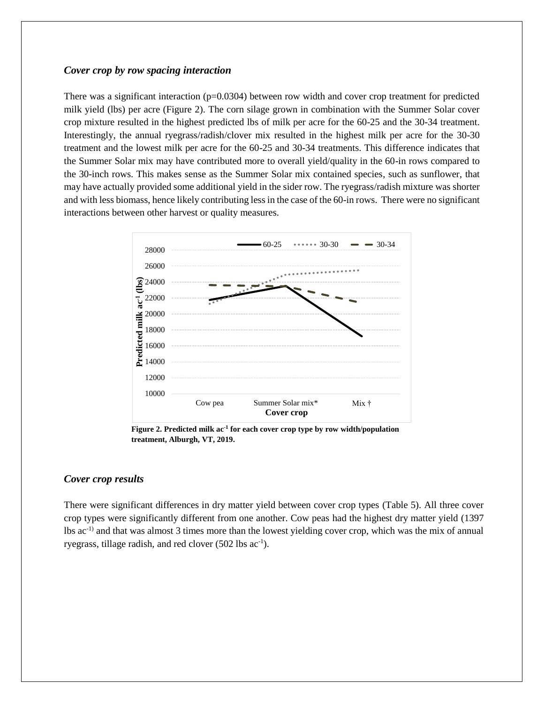#### *Cover crop by row spacing interaction*

There was a significant interaction  $(p=0.0304)$  between row width and cover crop treatment for predicted milk yield (lbs) per acre (Figure 2). The corn silage grown in combination with the Summer Solar cover crop mixture resulted in the highest predicted lbs of milk per acre for the 60-25 and the 30-34 treatment. Interestingly, the annual ryegrass/radish/clover mix resulted in the highest milk per acre for the 30-30 treatment and the lowest milk per acre for the 60-25 and 30-34 treatments. This difference indicates that the Summer Solar mix may have contributed more to overall yield/quality in the 60-in rows compared to the 30-inch rows. This makes sense as the Summer Solar mix contained species, such as sunflower, that may have actually provided some additional yield in the sider row. The ryegrass/radish mixture was shorter and with less biomass, hence likely contributing less in the case of the 60-in rows. There were no significant interactions between other harvest or quality measures.



**Figure 2. Predicted milk ac-1 for each cover crop type by row width/population treatment, Alburgh, VT, 2019.** 

#### *Cover crop results*

There were significant differences in dry matter yield between cover crop types (Table 5). All three cover crop types were significantly different from one another. Cow peas had the highest dry matter yield (1397 lbs ac-1) and that was almost 3 times more than the lowest yielding cover crop, which was the mix of annual ryegrass, tillage radish, and red clover (502 lbs ac<sup>-1</sup>).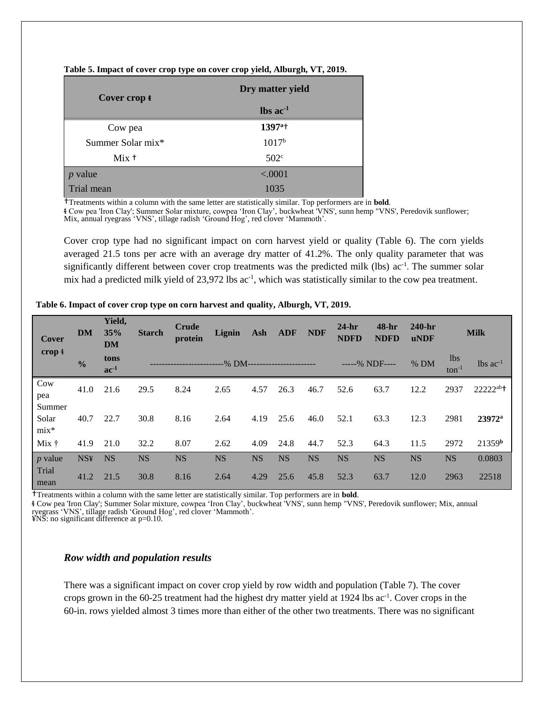| Table 5. Impact of cover crop type on cover crop yield, Alburgh, VT, 2019. |  |  |
|----------------------------------------------------------------------------|--|--|
|                                                                            |  |  |

| Cover crop $t$    | Dry matter yield              |
|-------------------|-------------------------------|
|                   | $\text{lbs}$ ac <sup>-1</sup> |
| Cow pea           | $1397^{\circ +}$              |
| Summer Solar mix* | $1017^{\rm b}$                |
| Mix <sup>†</sup>  | 502 <sup>c</sup>              |
| $p$ value         | < .0001                       |
| Trial mean        | 1035                          |

†Treatments within a column with the same letter are statistically similar. Top performers are in **bold**.

ᵵ Cow pea 'Iron Clay'; Summer Solar mixture, cowpea 'Iron Clay', buckwheat 'VNS', sunn hemp "VNS', Peredovik sunflower; Mix, annual ryegrass 'VNS', tillage radish 'Ground Hog', red clover 'Mammoth'.

Cover crop type had no significant impact on corn harvest yield or quality (Table 6). The corn yields averaged 21.5 tons per acre with an average dry matter of 41.2%. The only quality parameter that was significantly different between cover crop treatments was the predicted milk (lbs) ac<sup>-1</sup>. The summer solar mix had a predicted milk yield of 23,972 lbs ac<sup>-1</sup>, which was statistically similar to the cow pea treatment.

| Cover                     | <b>DM</b>     | Yield,<br>35%<br><b>DM</b> | <b>Starch</b> | Crude<br>protein | Lignin    | Ash       | ADF       | <b>NDF</b> | $24-hr$<br><b>NDFD</b> | $48-hr$<br><b>NDFD</b> | $240-hr$<br><b>uNDF</b> |                    | <b>Milk</b>              |
|---------------------------|---------------|----------------------------|---------------|------------------|-----------|-----------|-----------|------------|------------------------|------------------------|-------------------------|--------------------|--------------------------|
| crop $t$                  | $\frac{0}{0}$ | tons<br>$ac^{-1}$          |               |                  | -% DM-    |           |           |            |                        | -----% NDF----         | $%$ DM                  | lbs.<br>$ton^{-1}$ | $lbs$ ac <sup>-1</sup>   |
| Cow<br>pea                | 41.0          | 21.6                       | 29.5          | 8.24             | 2.65      | 4.57      | 26.3      | 46.7       | 52.6                   | 63.7                   | 12.2                    | 2937               | $2222^{ab}$ <sup>+</sup> |
| Summer<br>Solar<br>$mix*$ | 40.7          | 22.7                       | 30.8          | 8.16             | 2.64      | 4.19      | 25.6      | 46.0       | 52.1                   | 63.3                   | 12.3                    | 2981               | $23972^{\rm a}$          |
| $Mix \dagger$             | 41.9          | 21.0                       | 32.2          | 8.07             | 2.62      | 4.09      | 24.8      | 44.7       | 52.3                   | 64.3                   | 11.5                    | 2972               | 21359 <sup>b</sup>       |
| $p$ value                 | <b>NS¥</b>    | <b>NS</b>                  | <b>NS</b>     | <b>NS</b>        | <b>NS</b> | <b>NS</b> | <b>NS</b> | <b>NS</b>  | <b>NS</b>              | <b>NS</b>              | <b>NS</b>               | <b>NS</b>          | 0.0803                   |
| Trial<br>mean             | 41.2          | 21.5                       | 30.8          | 8.16             | 2.64      | 4.29      | 25.6      | 45.8       | 52.3                   | 63.7                   | 12.0                    | 2963               | 22518                    |

#### **Table 6. Impact of cover crop type on corn harvest and quality, Alburgh, VT, 2019.**

†Treatments within a column with the same letter are statistically similar. Top performers are in **bold**.

ᵵ Cow pea 'Iron Clay'; Summer Solar mixture, cowpea 'Iron Clay', buckwheat 'VNS', sunn hemp "VNS', Peredovik sunflower; Mix, annual ryegrass 'VNS', tillage radish 'Ground Hog', red clover 'Mammoth'.

¥NS: no significant difference at p=0.10.

#### *Row width and population results*

There was a significant impact on cover crop yield by row width and population (Table 7). The cover crops grown in the 60-25 treatment had the highest dry matter yield at 1924 lbs ac<sup>-1</sup>. Cover crops in the 60-in. rows yielded almost 3 times more than either of the other two treatments. There was no significant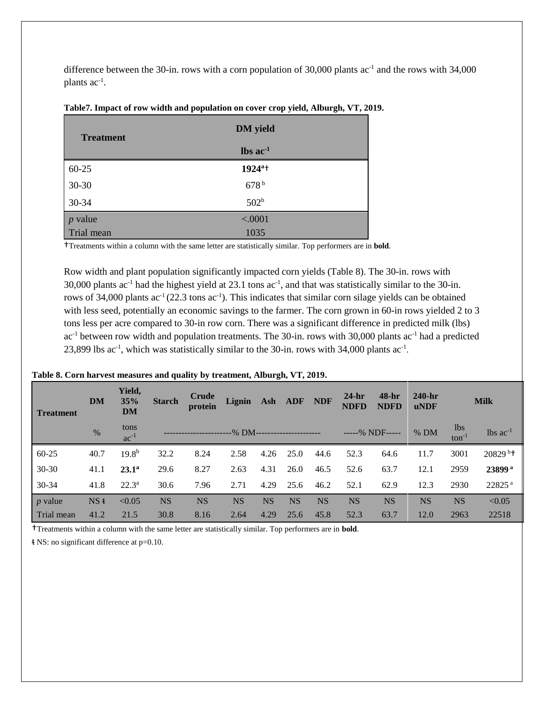difference between the 30-in. rows with a corn population of 30,000 plants  $ac^{-1}$  and the rows with 34,000 plants ac<sup>-1</sup>.

| <b>Treatment</b> | <b>DM</b> yield          |  |
|------------------|--------------------------|--|
|                  | $\ln$ s ac <sup>-1</sup> |  |
| $60 - 25$        | 1924 <sup>a+</sup>       |  |
| 30-30            | 678 <sup>b</sup>         |  |
| 30-34            | 502 <sup>b</sup>         |  |
| $p$ value        | < .0001                  |  |
| Trial mean       | 1035                     |  |

#### **Table7. Impact of row width and population on cover crop yield, Alburgh, VT, 2019.**

†Treatments within a column with the same letter are statistically similar. Top performers are in **bold**.

Row width and plant population significantly impacted corn yields (Table 8). The 30-in. rows with 30,000 plants ac<sup>-1</sup> had the highest yield at 23.1 tons ac<sup>-1</sup>, and that was statistically similar to the 30-in. rows of 34,000 plants  $ac^{-1}(22.3 \text{ tons } ac^{-1})$ . This indicates that similar corn silage yields can be obtained with less seed, potentially an economic savings to the farmer. The corn grown in 60-in rows yielded 2 to 3 tons less per acre compared to 30-in row corn. There was a significant difference in predicted milk (lbs) ac<sup>-1</sup> between row width and population treatments. The 30-in. rows with 30,000 plants ac<sup>-1</sup> had a predicted 23,899 lbs ac<sup>-1</sup>, which was statistically similar to the 30-in. rows with 34,000 plants ac<sup>-1</sup>.

| <b>Treatment</b> | <b>DM</b>     | Yield,<br>35%<br><b>DM</b> | <b>Starch</b> | <b>Crude</b><br>protein | Lignin    |           | Ash ADF   | <b>NDF</b> | $24-hr$<br><b>NDFD</b> | $48-hr$<br><b>NDFD</b> | $240$ -hr<br><b>uNDF</b> |                    | <b>Milk</b>            |
|------------------|---------------|----------------------------|---------------|-------------------------|-----------|-----------|-----------|------------|------------------------|------------------------|--------------------------|--------------------|------------------------|
|                  | $\frac{0}{6}$ | tons<br>$ac^{-1}$          |               |                         |           |           |           |            |                        | -----% NDF-----        | $%$ DM                   | lbs.<br>$ton^{-1}$ | $lbs$ ac <sup>-1</sup> |
| $60 - 25$        | 40.7          | $19.8^{b}$                 | 32.2          | 8.24                    | 2.58      | 4.26      | 25.0      | 44.6       | 52.3                   | 64.6                   | 11.7                     | 3001               | $20829$ <sup>b+</sup>  |
| $30 - 30$        | 41.1          | $23.1^{\rm a}$             | 29.6          | 8.27                    | 2.63      | 4.31      | 26.0      | 46.5       | 52.6                   | 63.7                   | 12.1                     | 2959               | 23899 <sup>a</sup>     |
| 30-34            | 41.8          | $22.3^{\rm a}$             | 30.6          | 7.96                    | 2.71      | 4.29      | 25.6      | 46.2       | 52.1                   | 62.9                   | 12.3                     | 2930               | 22825 <sup>a</sup>     |
| $p$ value        | NSt           | < 0.05                     | <b>NS</b>     | <b>NS</b>               | <b>NS</b> | <b>NS</b> | <b>NS</b> | <b>NS</b>  | <b>NS</b>              | <b>NS</b>              | <b>NS</b>                | <b>NS</b>          | < 0.05                 |
| Trial mean       | 41.2          | 21.5                       | 30.8          | 8.16                    | 2.64      | 4.29      | 25.6      | 45.8       | 52.3                   | 63.7                   | 12.0                     | 2963               | 22518                  |

#### **Table 8. Corn harvest measures and quality by treatment, Alburgh, VT, 2019.**

†Treatments within a column with the same letter are statistically similar. Top performers are in **bold**.

ᵵ NS: no significant difference at p=0.10.